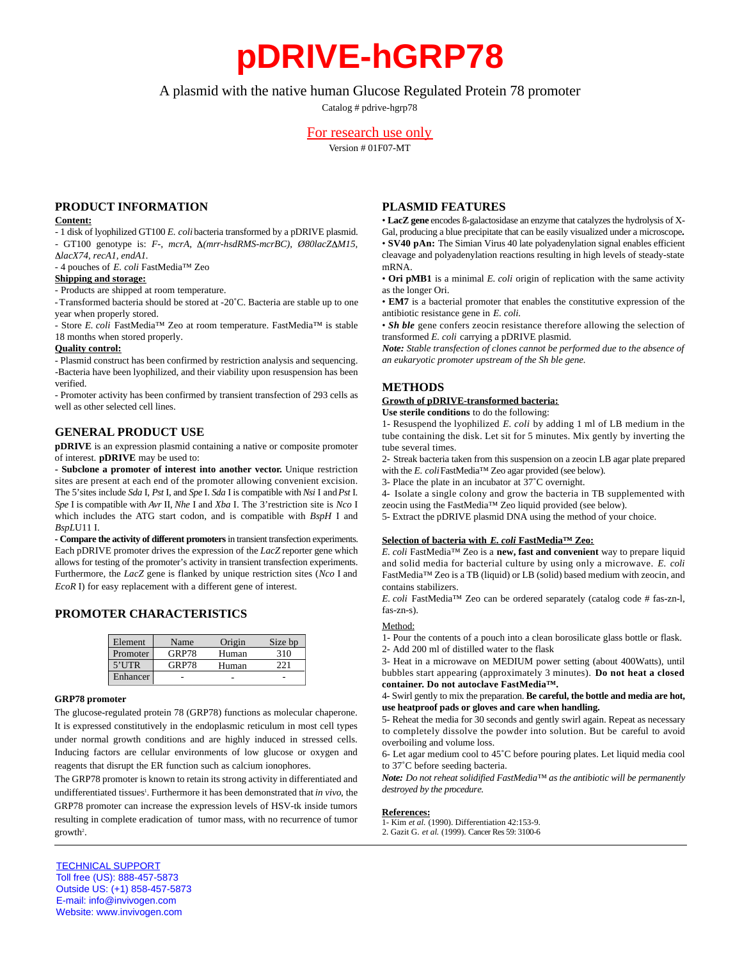# **pDRIVE-hGRP78**

## A plasmid with the native human Glucose Regulated Protein 78 promoter

Catalog # pdrive-hgrp78

## For research use only

Version # 01F07-MT

### **PRODUCT INFORMATION**

#### **Content:**

- 1 disk of lyophilized GT100 *E. coli*bacteria transformed by a pDRIVE plasmid. - GT100 genotype is: *F-, mcrA, Δ(mrr-hsdRMS-mcrBC), Ø80lacZΔM15, lacX74, recA1, endA1.*

- 4 pouches of *E. coli* FastMedia™ Zeo

**Shipping and storage:**

- Products are shipped at room temperature.

- Transformed bacteria should be stored at -20˚C. Bacteria are stable up to one year when properly stored.

- Store *E. coli* FastMedia™ Zeo at room temperature. FastMedia™ is stable 18 months when stored properly.

#### **Quality control:**

- Plasmid construct has been confirmed by restriction analysis and sequencing. -Bacteria have been lyophilized, and their viability upon resuspension has been verified.

- Promoter activity has been confirmed by transient transfection of 293 cells as well as other selected cell lines.

### **GENERAL PRODUCT USE**

**pDRIVE** is an expression plasmid containing a native or composite promoter of interest. **pDRIVE** may be used to:

**- Subclone a promoter of interest into another vector.** Unique restriction sites are present at each end of the promoter allowing convenient excision. The 5' sites include *Sda* I, *Pst* I, and *Spe* I. *Sda* I is compatible with *Nsi* I and *Pst* I. *Spe* I is compatible with *Avr* II, *Nhe* I and *Xba* I. The 3'restriction site is *Nco* I which includes the ATG start codon, and is compatible with *BspH* I and *BspL*U11 I.

- Compare the activity of different promoters in transient transfection experiments. Each pDRIVE promoter drives the expression of the *LacZ* reporter gene which allows for testing of the promoter's activity in transient transfection experiments. Furthermore, the *LacZ* gene is flanked by unique restriction sites (*Nco* I and *EcoR* I) for easy replacement with a different gene of interest.

## **PROMOTER CHARACTERISTICS**

| Element  | Name  | Origin | Size bp |
|----------|-------|--------|---------|
| Promoter | GRP78 | Human  | 310     |
| $5'$ UTR | GRP78 | Human  |         |
| Enhancer |       |        |         |

#### **GRP78 promoter**

The glucose-regulated protein 78 (GRP78) functions as molecular chaperone. It is expressed constitutively in the endoplasmic reticulum in most cell types under normal growth conditions and are highly induced in stressed cells. Inducing factors are cellular environments of low glucose or oxygen and reagents that disrupt the ER function such as calcium ionophores.

The GRP78 promoter is known to retain its strong activity in differentiated and undifferentiated tissues<sup>1</sup>. Furthermore it has been demonstrated that *in vivo*, the GRP78 promoter can increase the expression levels of HSV-tk inside tumors resulting in complete eradication of tumor mass, with no recurrence of tumor  $growth<sup>2</sup>$ .

## **PLASMID FEATURES**

• **LacZ gene** encodes ß-galactosidase an enzyme that catalyzes the hydrolysis of X-Gal, producing a blue precipitate that can be easily visualized under a microscope**.** • **SV40 pAn:** The Simian Virus 40 late polyadenylation signal enables efficient cleavage and polyadenylation reactions resulting in high levels of steady-state mRNA.

• **Ori pMB1** is a minimal *E. coli* origin of replication with the same activity as the longer Ori.

• **EM7** is a bacterial promoter that enables the constitutive expression of the antibiotic resistance gene in *E. coli.*

• *Sh ble* gene confers zeocin resistance therefore allowing the selection of transformed *E. coli* carrying a pDRIVE plasmid.

*Note: Stable transfection of clones cannot be performed due to the absence of an eukaryotic promoter upstream of the Sh ble gene.*

## **METHODS**

**Growth of pDRIVE-transformed bacteria:**

**Use sterile conditions** to do the following:

1- Resuspend the lyophilized *E. coli* by adding 1 ml of LB medium in the tube containing the disk. Let sit for 5 minutes. Mix gently by inverting the tube several times.

2- Streak bacteria taken from this suspension on a zeocin LB agar plate prepared with the *E. coli*FastMedia™ Zeo agar provided (see below).

3- Place the plate in an incubator at 37˚C overnight.

4- Isolate a single colony and grow the bacteria in TB supplemented with zeocin using the FastMedia™ Zeo liquid provided (see below).

5- Extract the pDRIVE plasmid DNA using the method of your choice.

#### **Selection of bacteria with** *E. coli* **FastMedia™ Zeo:**

*E. coli* FastMedia™ Zeo is a new, fast and convenient way to prepare liquid and solid media for bacterial culture by using only a microwave. *E. coli* FastMedia™ Zeo is a TB (liquid) or LB (solid) based medium with zeocin, and contains stabilizers.

*E. coli* FastMedia™ Zeo can be ordered separately (catalog code # fas-zn-l, fas-zn-s).

#### Method:

1- Pour the contents of a pouch into a clean borosilicate glass bottle or flask.

2- Add 200 ml of distilled water to the flask

3- Heat in a microwave on MEDIUM power setting (about 400Watts), until bubbles start appearing (approximately 3 minutes). **Do not heat a closed** container. Do not autoclave FastMedia™.

4- Swirl gently to mix the preparation. **Be careful, the bottle and media are hot, use heatproof pads or gloves and care when handling.**

5- Reheat the media for 30 seconds and gently swirl again. Repeat as necessary to completely dissolve the powder into solution. But be careful to avoid overboiling and volume loss.

6- Let agar medium cool to 45˚C before pouring plates. Let liquid media cool to 37˚C before seeding bacteria.

*Note: Do not reheat solidified FastMedia™ as the antibiotic will be permanently*  $destroved by the procedure.$ 

#### **References:**

1- Kim *et al.* (1990). Differentiation 42:153-9.

2. Gazit G. *et al.* (1999). Cancer Res 59: 3100-6

TECHNICAL SUPPORT Toll free (US): 888-457-5873 Outside US: (+1) 858-457-5873 E-mail: info@invivogen.com Website: www.invivogen.com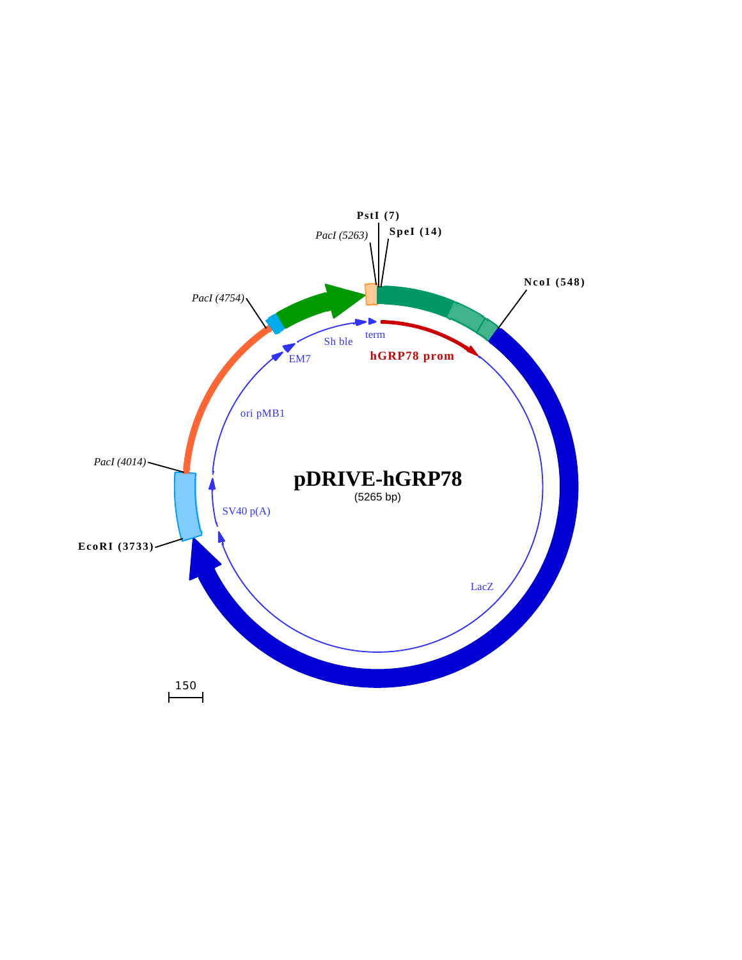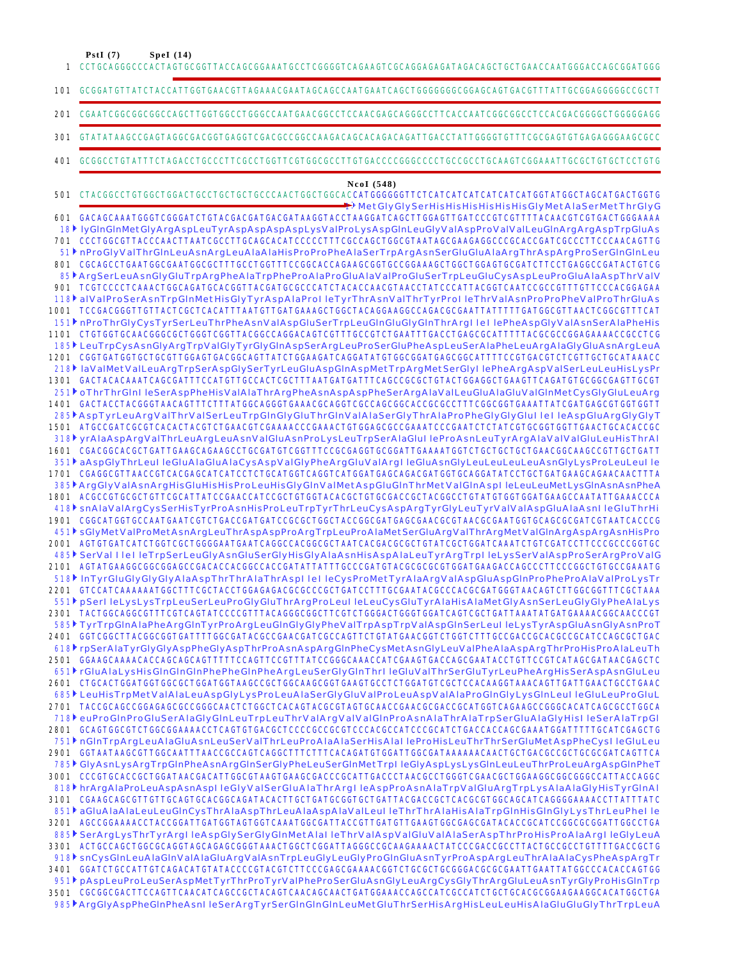**PstI (7) SpeI (14)**

CCTGCAGGGCCCACTAGTGCGGTTACCAGCGGAAATGCCTCGGGGTCAGAAGTCGCAGGAGAGATAGACAGCTGCTGAACCAATGGGACCAGCGGATGGG GCGGATGTTATCTACCATTGGTGAACGTTAGAAACGAATAGCAGCCAATGAATCAGCTGGGGGGGCGGAGCAGTGACGTTTATTGCGGAGGGGGCCGCTT 101 CGAATCGGCGGCGGCCAGCTTGGTGGCCTGGGCCAATGAACGGCCTCCAACGAGCAGGGCCTTCACCAATCGGCGGCCTCCACGACGGGGCTGGGGGAGG GTATATAAGCCGAGTAGGCGACGGTGAGGTCGACGCCGGCCAAGACAGCACAGACAGATTGACCTATTGGGGTGTTTCGCGAGTGTGAGAGGGAAGCGCC GCGGCCTGTATTTCTAGACCTGCCCTTCGCCTGGTTCGTGGCGCCTTGTGACCCCGGGCCCCTGCCGCCTGCAAGTCGGAAATTGCGCTGTGCTCCTGTG CTACGGCCTGTGGCTGGACTGCCTGCTGCTGCCCAACTGGCTGGCACCATGGGGGGTTCTCATCATCATCATCATCATGGTATGGCTAGCATGACTGGTG GACAGCAAATGGGTCGGGATCTGTACGACGATGACGATAAGGTACCTAAGGATCAGCTTGGAGTTGATCCCGTCGTTTTACAACGTCGTGACTGGGAAAA 601 CCCTGGCGTTACCCAACTTAATCGCCTTGCAGCACATCCCCCTTTCGCCAGCTGGCGTAATAGCGAAGAGGCCCGCACCGATCGCCCTTCCCAACAGTTG 701 CGCAGCCTGAATGGCGAATGGCGCTTTGCCTGGTTTCCGGCACCAGAAGCGGTGCCGGAAAGCTGGCTGGAGTGCGATCTTCCTGAGGCCGATACTGTCG 801 TCGTCCCCTCAAACTGGCAGATGCACGGTTACGATGCGCCCATCTACACCAACGTAACCTATCCCATTACGGTCAATCCGCCGTTTGTTCCCACGGAGAA 901 TCCGACGGGTTGTTACTCGCTCACATTTAATGTTGATGAAAGCTGGCTACAGGAAGGCCAGACGCGAATTATTTTTGATGGCGTTAACTCGGCGTTTCAT 1001 CTGTGGTGCAACGGGCGCTGGGTCGGTTACGGCCAGGACAGTCGTTTGCCGTCTGAATTTGACCTGAGCGCATTTTTACGCGCCGGAGAAAACCGCCTCG 1101 1201 CGGTGATGGTGCTGCGTTGGAGTGACGGCAGTTATCTGGAAGATCAGGATATGTGGCGGATGAGCGGCATTTTCCGTGACGTCTCGTTGCTGCATAAACC 1301 GACTACACAAATCAGCGATTTCCATGTTGCCACTCGCTTTAATGATGATTTCAGCCGCGCTGTACTGGAGGCTGAAGTTCAGATGTGCGGCGAGTTGCGT 1401 GACTACCTACGGGTAACAGTTTCTTTATGGCAGGGTGAAACGCAGGTCGCCAGCGGCACCGCGCCTTTCGGCGGTGAAATTATCGATGAGCGTGGTGGTT 1501 ATGCCGATCGCGTCACACTACGTCTGAACGTCGAAAACCCGAAACTGTGGAGCGCCGAAATCCCGAATCTCTATCGTGCGGTGGTTGAACTGCACACCGC 1601 CGACGGCACGCTGATTGAAGCAGAAGCCTGCGATGTCGGTTTCCGCGAGGTGCGGATTGAAAATGGTCTGCTGCTGCTGAACGGCAAGCCGTTGCTGATT 1701 CGAGGCGTTAACCGTCACGAGCATCATCCTCTGCATGGTCAGGTCATGGATGAGCAGACGATGGTGCAGGATATCCTGCTGATGAAGCAGAACAACTTTA 1801 ACGCCGTGCGCTGTTCGCATTATCCGAACCATCCGCTGTGGTACACGCTGTGCGACCGCTACGGCCTGTATGTGGTGGATGAAGCCAATATTGAAACCCA 1901 CGGCATGGTGCCAATGAATCGTCTGACCGATGATCCGCGCTGGCTACCGGCGATGAGCGAACGCGTAACGCGAATGGTGCAGCGCGATCGTAATCACCCG AGTGTGATCATCTGGTCGCTGGGGAATGAATCAGGCCACGGCGCTAATCACGACGCGCTGTATCGCTGGATCAAATCTGTCGATCCTTCCCGCCCGGTGC 2001 AGTATGAAGGCGGCGGAGCCGACACCACGGCCACCGATATTATTTGCCCGATGTACGCGCGCGTGGATGAAGACCAGCCCTTCCCGGCTGTGCCGAAATG 2101 2201 GTCCATCAAAAAATGGCTTTCGCTACCTGGAGAGACGCGCCCGCTGATCCTTTGCGAATACGCCCACGCGATGGGTAACAGTCTTGGCGGTTTCGCTAAA TACTGGCAGGCGTTTCGTCAGTATCCCCGTTTACAGGGCGGCTTCGTCTGGGACTGGGTGGATCAGTCGCTGATTAAATATGATGAAAACGGCAACCCGT 2301 2401 GGTCGGCTTACGGCGGTGATTTTGGCGATACGCCGAACGATCGCCAGTTCTGTATGAACGGTCTGGTCTTTGCCGACCGCACGCCGCATCCAGCGCTGAC 2501 GGAAGCAAAACACCAGCAGCAGTTTTTCCAGTTCCGTTTATCCGGCAAACCATCGAAGTGACCAGCGAATACCTGTTCCGTCATAGCGATAACGAGCTC CTGCACTGGATGGTGGCGCTGGATGGTAAGCCGCTGGCAAGCGGTGAAGTGCCTCTGGATGTCGCTCCACAAGGTAAACAGTTGATTGAACTGCCTGAAC 2601 2701 TACCGCAGCCGGAGAGCGCCGGGCAACTCTGGCTCACAGTACGCGTAGTGCAACCGAACGCGACCGCATGGTCAGAAGCCGGGCACATCAGCGCCTGGCA 2801 GCAGTGGCGTCTGGCGGAAAACCTCAGTGTGACGCTCCCCGCCGCGTCCCACGCCATCCCGCATCTGACCACCAGCGAAATGGATTTTTGCATCGAGCTG GGTAATAAGCGTTGGCAATTTAACCGCCAGTCAGGCTTTCTTTCACAGATGTGGATTGGCGATAAAAAACAACTGCTGACGCCGCTGCGCGATCAGTTCA 2901 3001 CCCGTGCACCGCTGGATAACGACATTGGCGTAAGTGAAGCGACCCGCATTGACCCTAACGCCTGGGTCGAACGCTGGAAGGCGGCGGCCCATTACCAGGC CGAAGCAGCGTTGTTGCAGTGCACGGCAGATACACTTGCTGATGCGGTGCTGATTACGACCGCTCACGCGTGGCAGCATCAGGGGAAAACCTTATTTATC 3101 AGCCGGAAAACCTACCGGATTGATGGTAGTGGTCAAATGGCGATTACCGTTGATGTTGAAGTGGCGAGCGATACACCGCATCCGGCGCGGATTGGCCTGA 3201 3301 ACTGCCAGCTGGCGCAGGTAGCAGAGCGGGTAAACTGGCTCGGATTAGGGCCGCAAGAAAACTATCCCGACCGCTTACTGCCGCCTGTTTTGACCGCTG 3401 GGATCTGCCATTGTCAGACATGTATACCCCGTACGTCTTCCCGAGCGAAAACGGTCTGCGGTGCGGGACGCGCGAATTGAATTATGGCCCACACCAGTGG 3501 CGCGGCGACTTCCAGTTCAACATCAGCCGCTACAGTCAACAGCAACTGATGGAAACCAGCCATCGCCATCTGCTGCACGCGGAAGAAGGCACATGGCTGA MetGlyGlySerHisHisHisHisHisHisGlyMetAlaSerMetThrGlyG 1 18▶lyGInGInMetGlyArgAspLeuTyrAspAspAspAspLysValProLysAspGInLeuGlyValAspProValValLeuGInArgArgAspTrpGluAs 51▶nProGlyValThrGlnLeuAsnArgLeuAlaAlaHisProProPheAlaSerTrpArgAsnSerGluGluAlaArgThrAspArgProSerGlnGlnLeu ArgSerLeuAsnGlyGluTrpArgPheAlaTrpPheProAlaProGluAlaValProGluSerTrpLeuGluCysAspLeuProGluAlaAspThrValV 85 alValProSerAsnTrpGlnMetHisGlyTyrAspAlaProI leTyrThrAsnValThrTyrProI leThrValAsnProProPheValProThrGluAs 118 nProThrGlyCysTyrSerLeuThrPheAsnValAspGluSerTrpLeuGlnGluGlyGlnThrArgI leI lePheAspGlyValAsnSerAlaPheHis 151 LeuTrpCysAsnGlyArgTrpValGlyTyrGlyGlnAspSerArgLeuProSerGluPheAspLeuSerAlaPheLeuArgAlaGlyGluAsnArgLeuA 185 laValMetValLeuArgTrpSerAspGlySerTyrLeuGluAspGlnAspMetTrpArgMetSerGlyI lePheArgAspValSerLeuLeuHisLysPr 218 251▶oThrThrGlnI leSerAspPheHisValAlaThrArgPheAsnAspAspPheSerArgAlaValLeuGluAlaGluValGlnMetCysGlyGluLeuArg AspTyrLeuArgValThrValSerLeuTrpGlnGlyGluThrGlnValAlaSerGlyThrAlaProPheGlyGlyGluI leI leAspGluArgGlyGlyT 285 318♪ yrAlaAspArgValThrLeuArgLeuAsnValGluAsnProLysLeuTrpSerAlaGluI leProAsnLeuTyrArgAlaValValGluLeuHisThrAl 351∤ aAspGlyThrLeuI leGluAlaGluAlaCysAspValGlyPheArgGluValArgI leGluAsnGlyLeuLeuLeuLeuAsnGlyLysProLeuLeuI le 385▶ArgGlyValAsnArgHisGluHisHisProLeuHisGlyGlnValMetAspGluGlnThrMetValGlnAspl leLeuLeuMetLysGlnAsnAsnPheA snAlaValArgCysSerHisTyrProAsnHisProLeuTrpTyrThrLeuCysAspArgTyrGlyLeuTyrValValAspGluAlaAsnI leGluThrHi 418 sGlyMetValProMetAsnArgLeuThrAspAspProArgTrpLeuProAlaMetSerGluArgValThrArgMetValGlnArgAspArgAsnHisPro 451 SerVal I leI leTrpSerLeuGlyAsnGluSerGlyHisGlyAlaAsnHisAspAlaLeuTyrArgTrpI leLysSerValAspProSerArgProValG 485 lnTyrGluGlyGlyGlyAlaAspThrThrAlaThrAspI leI leCysProMetTyrAlaArgValAspGluAspGlnProPheProAlaValProLysTr 518 pSerI leLysLysTrpLeuSerLeuProGlyGluThrArgProLeuI leLeuCysGluTyrAlaHisAlaMetGlyAsnSerLeuGlyGlyPheAlaLys 551 TyrTrpGlnAlaPheArgGlnTyrProArgLeuGlnGlyGlyPheValTrpAspTrpValAspGlnSerLeuI leLysTyrAspGluAsnGlyAsnProT 585 rpSerAlaTyrGlyGlyAspPheGlyAspThrProAsnAspArgGlnPheCysMetAsnGlyLeuValPheAlaAspArgThrProHisProAlaLeuTh 618 rGluAlaLysHisGlnGlnGlnPhePheGlnPheArgLeuSerGlyGlnThrI leGluValThrSerGluTyrLeuPheArgHisSerAspAsnGluLeu 651 LeuHisTrpMetValAlaLeuAspGlyLysProLeuAlaSerGlyGluValProLeuAspValAlaProGlnGlyLysGlnLeuI leGluLeuProGluL 685 euProGlnProGluSerAlaGlyGlnLeuTrpLeuThrValArgValValGlnProAsnAlaThrAlaTrpSerGluAlaGlyHisI leSerAlaTrpGl 718 nGlnTrpArgLeuAlaGluAsnLeuSerValThrLeuProAlaAlaSerHisAlaI leProHisLeuThrThrSerGluMetAspPheCysI leGluLeu 751 GlyAsnLysArgTrpGlnPheAsnArgGlnSerGlyPheLeuSerGlnMetTrpI leGlyAspLysLysGlnLeuLeuThrProLeuArgAspGlnPheT 785 hrArgAlaProLeuAspAsnAspI leGlyValSerGluAlaThrArgI leAspProAsnAlaTrpValGluArgTrpLysAlaAlaGlyHisTyrGlnAl 818 851♪ aGluAlaAlaLeuLeuGInCysThrAlaAspThrLeuAlaAspAlaValLeuI leThrThrAlaHisAlaTrpGInHisGInGlyLysThrLeuPheI le SerArgLysThrTyrArgI leAspGlySerGlyGlnMetAlaI leThrValAspValGluValAlaSerAspThrProHisProAlaArgI leGlyLeuA 885 snCysGlnLeuAlaGlnValAlaGluArgValAsnTrpLeuGlyLeuGlyProGlnGluAsnTyrProAspArgLeuThrAlaAlaCysPheAspArgTr 918 pAspLeuProLeuSerAspMetTyrThrProTyrValPheProSerGluAsnGlyLeuArgCysGlyThrArgGluLeuAsnTyrGlyProHisGlnTrp 951 ArgGlyAspPheGlnPheAsnI leSerArgTyrSerGlnGlnGlnLeuMetGluThrSerHisArgHisLeuLeuHisAlaGluGluGlyThrTrpLeuA 985**NcoI (548)** 1 201 301 401 501